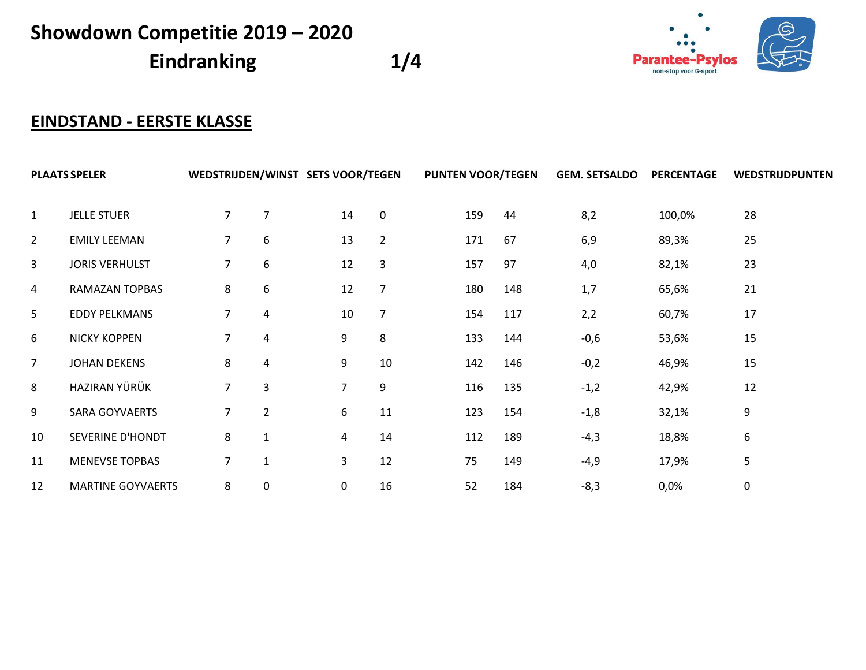**Eindranking 1/4**



## **EINDSTAND - EERSTE KLASSE**

| <b>PLAATS SPELER</b> |                          |                |                         | WEDSTRIJDEN/WINST SETS VOOR/TEGEN |                | <b>PUNTEN VOOR/TEGEN</b> |     | <b>GEM. SETSALDO</b> | <b>PERCENTAGE</b> | WEDSTRIJDPUNTEN |
|----------------------|--------------------------|----------------|-------------------------|-----------------------------------|----------------|--------------------------|-----|----------------------|-------------------|-----------------|
| $\mathbf{1}$         | <b>JELLE STUER</b>       | $\overline{7}$ | $\overline{7}$          | 14                                | 0              | 159                      | 44  | 8,2                  | 100,0%            | 28              |
| $\overline{2}$       | <b>EMILY LEEMAN</b>      | 7              | 6                       | 13                                | $\overline{2}$ | 171                      | 67  | 6,9                  | 89,3%             | 25              |
| 3                    | <b>JORIS VERHULST</b>    | 7              | 6                       | 12                                | 3              | 157                      | 97  | 4,0                  | 82,1%             | 23              |
| 4                    | <b>RAMAZAN TOPBAS</b>    | 8              | 6                       | 12                                | 7              | 180                      | 148 | 1,7                  | 65,6%             | 21              |
| 5                    | <b>EDDY PELKMANS</b>     | 7              | $\overline{a}$          | 10                                | $\overline{7}$ | 154                      | 117 | 2,2                  | 60,7%             | 17              |
| 6                    | <b>NICKY KOPPEN</b>      | 7              | $\overline{\mathbf{4}}$ | 9                                 | 8              | 133                      | 144 | $-0,6$               | 53,6%             | 15              |
| $\overline{7}$       | <b>JOHAN DEKENS</b>      | 8              | $\overline{a}$          | 9                                 | 10             | 142                      | 146 | $-0,2$               | 46,9%             | 15              |
| 8                    | HAZIRAN YÜRÜK            | $\overline{7}$ | 3                       | $\overline{7}$                    | 9              | 116                      | 135 | $-1,2$               | 42,9%             | 12              |
| 9                    | SARA GOYVAERTS           | 7              | $\overline{2}$          | 6                                 | 11             | 123                      | 154 | $-1,8$               | 32,1%             | 9               |
| 10                   | SEVERINE D'HONDT         | 8              | $\mathbf{1}$            | 4                                 | 14             | 112                      | 189 | $-4,3$               | 18,8%             | 6               |
| 11                   | <b>MENEVSE TOPBAS</b>    | 7              | $\mathbf{1}$            | 3                                 | 12             | 75                       | 149 | $-4,9$               | 17,9%             | 5               |
| 12                   | <b>MARTINE GOYVAERTS</b> | 8              | $\pmb{0}$               | 0                                 | 16             | 52                       | 184 | $-8,3$               | 0,0%              | $\mathbf 0$     |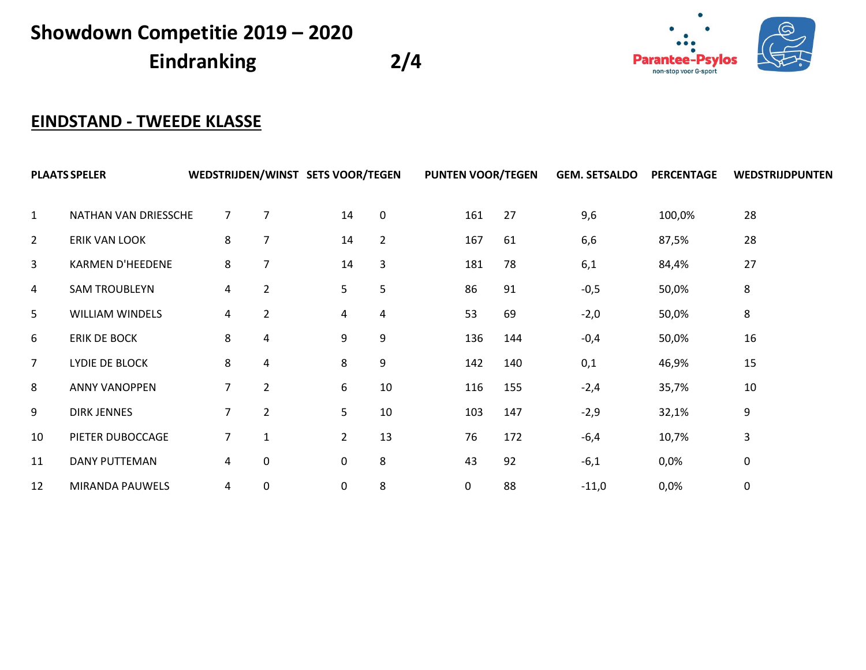**Eindranking 2/4**



## **EINDSTAND - TWEEDE KLASSE**

|                | <b>PLAATS SPELER</b>    |                | WEDSTRIJDEN/WINST SETS VOOR/TEGEN |                |              |     | <b>PUNTEN VOOR/TEGEN</b> | <b>GEM. SETSALDO</b> | <b>PERCENTAGE</b> | WEDSTRIJDPUNTEN |
|----------------|-------------------------|----------------|-----------------------------------|----------------|--------------|-----|--------------------------|----------------------|-------------------|-----------------|
| $\mathbf{1}$   | NATHAN VAN DRIESSCHE    | $\overline{7}$ | 7                                 | 14             | $\mathbf{0}$ | 161 | 27                       | 9,6                  | 100,0%            | 28              |
| $\overline{2}$ | <b>ERIK VAN LOOK</b>    | 8              | 7                                 | 14             | 2            | 167 | 61                       | 6,6                  | 87,5%             | 28              |
| 3              | <b>KARMEN D'HEEDENE</b> | 8              | $\overline{7}$                    | 14             | 3            | 181 | 78                       | 6,1                  | 84,4%             | 27              |
| 4              | <b>SAM TROUBLEYN</b>    | 4              | $\overline{2}$                    | 5              | 5            | 86  | 91                       | $-0,5$               | 50,0%             | 8               |
| 5              | <b>WILLIAM WINDELS</b>  | 4              | $\overline{2}$                    | 4              | 4            | 53  | 69                       | $-2,0$               | 50,0%             | 8               |
| 6              | ERIK DE BOCK            | 8              | $\overline{\mathbf{4}}$           | 9              | 9            | 136 | 144                      | $-0,4$               | 50,0%             | 16              |
| $\overline{7}$ | LYDIE DE BLOCK          | 8              | $\overline{a}$                    | 8              | 9            | 142 | 140                      | 0,1                  | 46,9%             | 15              |
| 8              | <b>ANNY VANOPPEN</b>    | 7              | $\overline{2}$                    | 6              | 10           | 116 | 155                      | $-2,4$               | 35,7%             | 10              |
| 9              | <b>DIRK JENNES</b>      | $\overline{7}$ | $\overline{2}$                    | 5              | 10           | 103 | 147                      | $-2,9$               | 32,1%             | 9               |
| 10             | PIETER DUBOCCAGE        | 7              | $\mathbf{1}$                      | $\overline{2}$ | 13           | 76  | 172                      | $-6,4$               | 10,7%             | 3               |
| 11             | <b>DANY PUTTEMAN</b>    | 4              | 0                                 | 0              | 8            | 43  | 92                       | $-6,1$               | 0,0%              | 0               |
| 12             | MIRANDA PAUWELS         | 4              | 0                                 | 0              | 8            | 0   | 88                       | $-11,0$              | 0,0%              | 0               |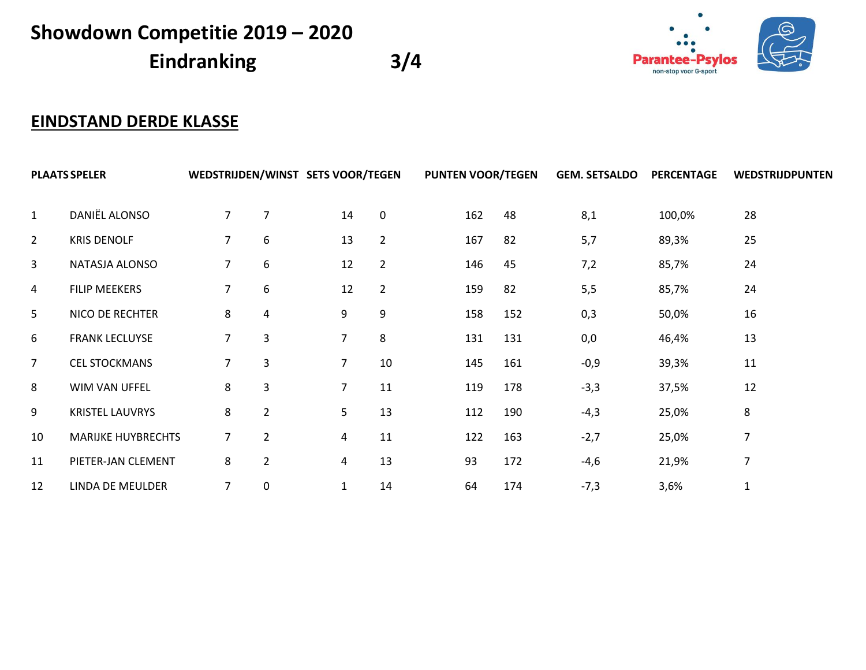**Eindranking 3/4**



## **EINDSTAND DERDE KLASSE**

| <b>PLAATS SPELER</b> |                           |                |                |                | WEDSTRIJDEN/WINST SETS VOOR/TEGEN |     | <b>PUNTEN VOOR/TEGEN</b> | <b>GEM. SETSALDO</b> | <b>PERCENTAGE</b> | WEDSTRIJDPUNTEN |
|----------------------|---------------------------|----------------|----------------|----------------|-----------------------------------|-----|--------------------------|----------------------|-------------------|-----------------|
| $\mathbf{1}$         | DANIËL ALONSO             | $\overline{7}$ | $\overline{7}$ | 14             | $\mathbf{0}$                      | 162 | 48                       | 8,1                  | 100,0%            | 28              |
| $\overline{2}$       | <b>KRIS DENOLF</b>        | $\overline{7}$ | 6              | 13             | $\overline{2}$                    | 167 | 82                       | 5,7                  | 89,3%             | 25              |
| 3                    | NATASJA ALONSO            | $\overline{7}$ | 6              | 12             | $\overline{2}$                    | 146 | 45                       | 7,2                  | 85,7%             | 24              |
| $\overline{a}$       | <b>FILIP MEEKERS</b>      | 7              | 6              | 12             | $\overline{2}$                    | 159 | 82                       | 5,5                  | 85,7%             | 24              |
| 5                    | NICO DE RECHTER           | 8              | 4              | 9              | 9                                 | 158 | 152                      | 0,3                  | 50,0%             | 16              |
| 6                    | <b>FRANK LECLUYSE</b>     | $\overline{7}$ | 3              | $\overline{7}$ | 8                                 | 131 | 131                      | 0,0                  | 46,4%             | 13              |
| $\overline{7}$       | <b>CEL STOCKMANS</b>      | 7              | 3              | $\overline{7}$ | 10                                | 145 | 161                      | $-0,9$               | 39,3%             | 11              |
| 8                    | WIM VAN UFFEL             | 8              | 3              | $\overline{7}$ | 11                                | 119 | 178                      | $-3,3$               | 37,5%             | 12              |
| 9                    | <b>KRISTEL LAUVRYS</b>    | 8              | $\overline{2}$ | 5              | 13                                | 112 | 190                      | $-4,3$               | 25,0%             | 8               |
| 10                   | <b>MARIJKE HUYBRECHTS</b> | 7              | $\overline{2}$ | 4              | 11                                | 122 | 163                      | $-2,7$               | 25,0%             | 7               |
| 11                   | PIETER-JAN CLEMENT        | 8              | $\overline{2}$ | 4              | 13                                | 93  | 172                      | $-4,6$               | 21,9%             | 7               |
| 12                   | LINDA DE MEULDER          | $\overline{7}$ | 0              | $\mathbf{1}$   | 14                                | 64  | 174                      | $-7,3$               | 3,6%              |                 |